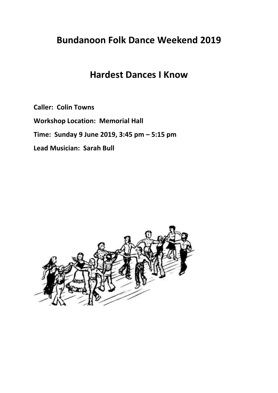## **Bundanoon Folk Dance Weekend 2019**

## **Hardest Dances I Know**

**Caller: Colin Towns**

**Workshop Location: Memorial Hall**

**Time: Sunday 9 June 2019, 3:45 pm – 5:15 pm**

**Lead Musician: Sarah Bull**

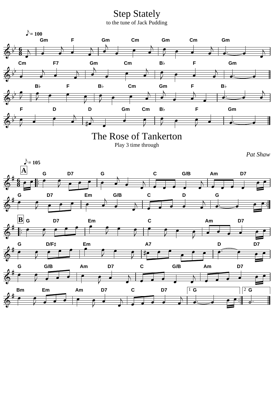Step Stately to the tune of Jack Pudding

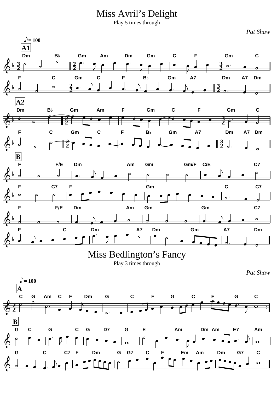Miss Avril's Delight

Play 5 times through

 $\triangle$  = 100 **A1 Dm B Gm Am Dm Gm C F Gm C 3 2 3** គ **2 2 2 F C Gm C F B Gm A7 Dm A7 Dm 2 3**  $\overline{\mathcal{C}}$ **2 2 A2 Dm B Gm Am F Gm C F Gm C 2 3** ていたい  $\bullet$ ē **2 2 F C Gm C F B Gm A7 Dm A7 Dm 2 3**  $\vec{A}$  $\overline{\phantom{a}}$ **2 2 B F F/E Dm Am Gm Gm/F C/E C7**  $\overline{\rho}$  $\overline{\bullet}$  $\overline{\boldsymbol{\sigma}}$  $\overline{c}$ F C7 F Gm C C7 p  $\sigma$  $\overline{\phantom{a}}$ ⋝ **F F/E Dm Am Gm Gm C7**  $\overline{\mathcal{A}}$  $\overline{\bullet}$  $\overline{\phantom{a}}$ ᆗ **F C Dm A7 Dm Gm A7 Dm** Miss Bedlington's Fancy Play 3 times through *Pat Shaw*  $\bigcirc$  = 100 **A C G Am C F Dm G C F G C F G C 2**  $\overline{\mathbf{O}}$ 蚕 **2 B G C G C G D7 G E Am Dm Am E7 Am** 香  $\bullet$  $\overline{\mathbf{o}}$  $\overline{\bullet}$ **G C C7 F Dm G G7 C F Em Am Dm G7 C**G  $\overline{\mathbf{O}}$ 

*Pat Shaw*